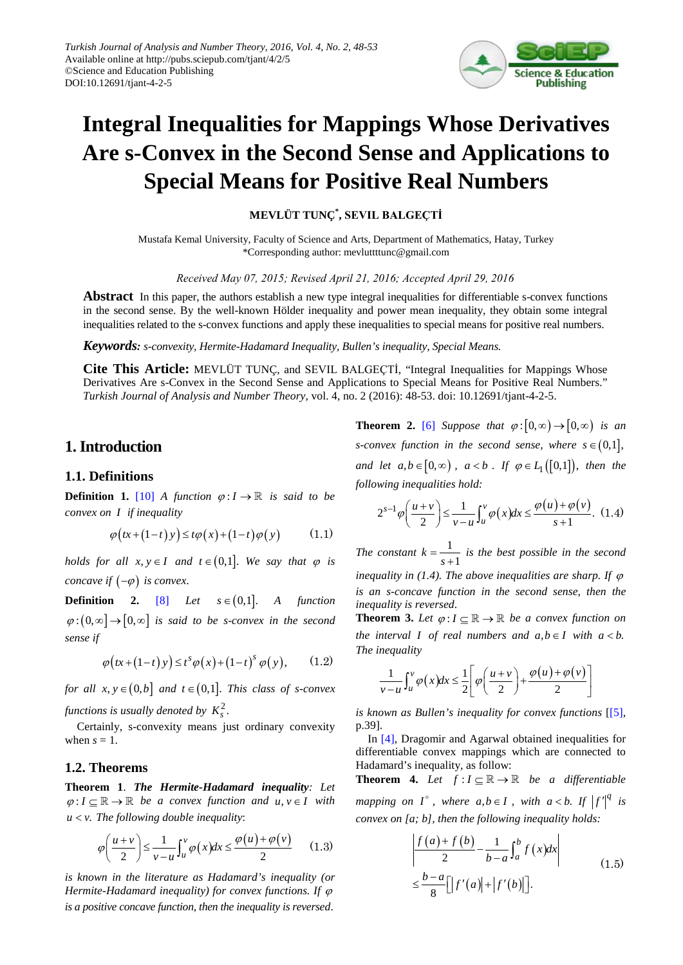

# **Integral Inequalities for Mappings Whose Derivatives Are s-Convex in the Second Sense and Applications to Special Means for Positive Real Numbers**

**MEVLÜT TUNÇ\* , SEVIL BALGEÇTİ**

Mustafa Kemal University, Faculty of Science and Arts, Department of Mathematics, Hatay, Turkey \*Corresponding author: mevluttttunc@gmail.com

*Received May 07, 2015; Revised April 21, 2016; Accepted April 29, 2016*

**Abstract** In this paper, the authors establish a new type integral inequalities for differentiable s-convex functions in the second sense. By the well-known Hölder inequality and power mean inequality, they obtain some integral inequalities related to the s-convex functions and apply these inequalities to special means for positive real numbers.

*Keywords: s-convexity, Hermite-Hadamard Inequality, Bullen's inequality, Special Means.*

**Cite This Article:** MEVLÜT TUNÇ, and SEVIL BALGEÇTİ, "Integral Inequalities for Mappings Whose Derivatives Are s-Convex in the Second Sense and Applications to Special Means for Positive Real Numbers." *Turkish Journal of Analysis and Number Theory*, vol. 4, no. 2 (2016): 48-53. doi: 10.12691/tjant-4-2-5.

## **1.Introduction**

#### **1.1. Definitions**

**Definition 1.** [\[10\]](#page-5-0) *A* function  $\varphi: I \to \mathbb{R}$  is said to be *convex on I if inequality*

$$
\varphi\big(tx + (1-t)y\big) \le t\varphi\big(x\big) + (1-t)\varphi\big(y\big) \tag{1.1}
$$

*holds for all*  $x, y \in I$  *and*  $t \in (0,1]$ *. We say that*  $\varphi$  *is concave if*  $(-\varphi)$  *is convex.* 

**Definition** 2. [\[8\]](#page-5-1) *Let*  $s \in (0,1]$  *A function*  $\varphi$ : $(0, \infty] \rightarrow [0, \infty]$  *is said to be s-convex in the second sense if*

$$
\varphi\big(tx+\big(1-t\big) y\big) \leq t^s \varphi\big(x\big) + \big(1-t\big)^s \varphi\big(y\big),\qquad(1.2)
$$

*for all*  $x, y \in (0,b]$  *and*  $t \in (0,1]$ *. This class of s-convex functions is usually denoted by*  $K_s^2$ .

Certainly, s-convexity means just ordinary convexity when  $s = 1$ .

#### **1.2. Theorems**

**Theorem 1**. *The Hermite-Hadamard inequality: Let*  $\varphi: I \subseteq \mathbb{R} \to \mathbb{R}$  be a convex function and  $u, v \in I$  with  $u < v$ . The following double inequality:

$$
\varphi\left(\frac{u+v}{2}\right) \le \frac{1}{v-u} \int_u^v \varphi(x) dx \le \frac{\varphi(u) + \varphi(v)}{2} \qquad (1.3)
$$

*is known in the literature as Hadamard's inequality (or Hermite-Hadamard inequality) for convex functions. If*  $\varphi$ *is a positive concave function, then the inequality is reversed*.

**Theorem 2.** [\[6\]](#page-5-2) *Suppose that*  $\varphi$ :  $[0,\infty) \rightarrow [0,\infty)$  *is an s*-convex function in the second sense, where  $s \in (0,1]$ , *and let*  $a, b \in [0, \infty)$ ,  $a < b$ . If  $\varphi \in L_1([0,1])$ , then the *following inequalities hold:*

$$
2^{s-1}\varphi\left(\frac{u+v}{2}\right) \le \frac{1}{v-u} \int_u^v \varphi(x)dx \le \frac{\varphi(u)+\varphi(v)}{s+1}.\tag{1.4}
$$

*The constant*  $k = \frac{1}{1}$  $k = \frac{1}{s+1}$  is the best possible in the second *inequality in (1.4). The above inequalities are sharp. If*  $\varphi$ *is an s-concave function in the second sense, then the inequality is reversed*.

**Theorem 3.** Let  $\varphi: I \subseteq \mathbb{R} \to \mathbb{R}$  be a convex function on *the interval I of real numbers and*  $a, b \in I$  *with*  $a < b$ . *The inequality*

$$
\frac{1}{v-u}\int_u^v \varphi(x)dx \leq \frac{1}{2}\left[\varphi\left(\frac{u+v}{2}\right) + \frac{\varphi(u)+\varphi(v)}{2}\right]
$$

*is known as Bullen's inequality for convex functions* [\[\[5\],](#page-5-3) p.39].

In [\[4\],](#page-5-4) Dragomir and Agarwal obtained inequalities for differentiable convex mappings which are connected to Hadamard's inequality, as follow:

**Theorem 4.** *Let*  $f: I \subseteq \mathbb{R} \to \mathbb{R}$  *be a differentiable mapping on*  $I^{\circ}$ , where  $a,b \in I$ , with  $a < b$ . If  $|f'|^q$  is *convex on [a; b], then the following inequality holds:*

$$
\left| \frac{f(a) + f(b)}{2} - \frac{1}{b-a} \int_{a}^{b} f(x) dx \right|
$$
  

$$
\leq \frac{b-a}{8} \Big[ |f'(a)| + |f'(b)| \Big].
$$
 (1.5)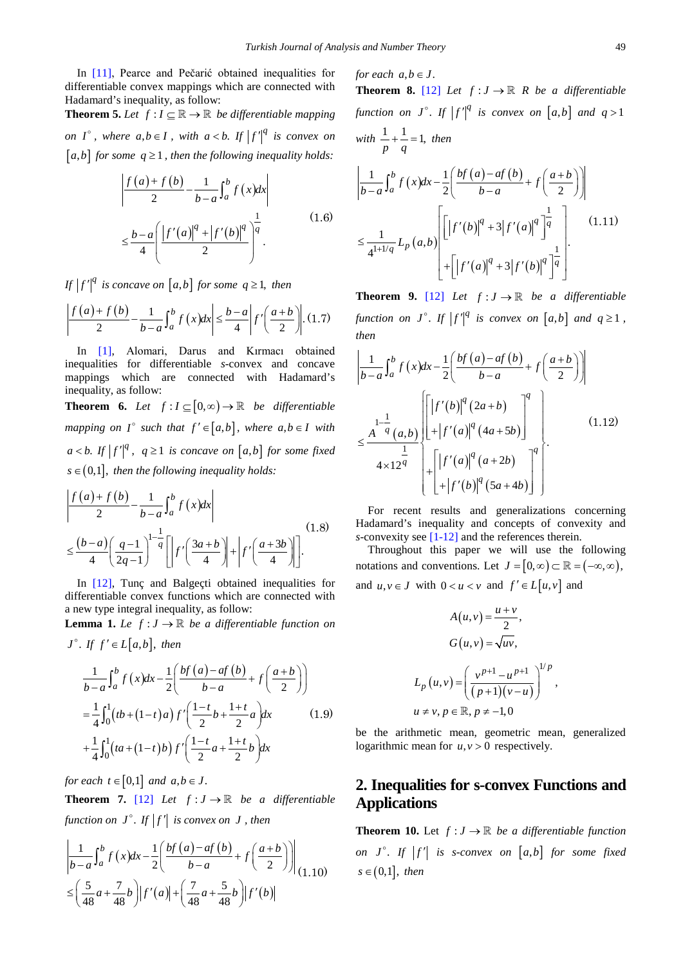In [\[11\]](#page-5-5), Pearce and Pečarić obtained inequalities for differentiable convex mappings which are connected with Hadamard's inequality, as follow:

**Theorem 5.** *Let*  $f: I \subseteq \mathbb{R} \to \mathbb{R}$  *be differentiable mapping on I*<sup>°</sup>, where  $a, b \in I$ , with  $a < b$ . If  $|f'|^q$  is convex on  $[a,b]$  *for some*  $q \ge 1$ *, then the following inequality holds:* 

$$
\frac{\left| f(a) + f(b)}{2} - \frac{1}{b-a} \int_{a}^{b} f(x) dx \right|
$$
  

$$
\leq \frac{b-a}{4} \left( \frac{\left| f'(a) \right|^{q} + \left| f'(b) \right|^{q}}{2} \right)^{\frac{1}{q}}.
$$
 (1.6)

*If*  $|f'|^q$  *is concave on* [*a,b*] *for some*  $q \ge 1$ *, then* 

$$
\left|\frac{f(a)+f(b)}{2}-\frac{1}{b-a}\int_{a}^{b}f(x)dx\right|\leq\frac{b-a}{4}\left|f'\left(\frac{a+b}{2}\right)\right|\tag{1.7}
$$

In [\[1\],](#page-5-6) Alomari, Darus and Kırmacı obtained inequalities for differentiable *s*-convex and concave mappings which are connected with Hadamard's inequality, as follow:

**Theorem 6.** *Let*  $f: I \subseteq [0, \infty) \rightarrow \mathbb{R}$  *be differentiable mapping on*  $I^{\circ}$  *such that*  $f' \in [a,b]$ *, where*  $a,b \in I$  *with*  $a < b$ . *If*  $|f'|^q$ ,  $q \ge 1$  *is concave on*  $[a,b]$  *for some fixed*  $s \in (0,1]$ , then the following inequality holds:

$$
\left| \frac{f(a) + f(b)}{2} - \frac{1}{b-a} \int_a^b f(x) dx \right|
$$
  

$$
\leq \frac{(b-a)\left(\frac{q-1}{2q-1}\right)^{1-\frac{1}{q}} \left[ \left| f'\left(\frac{3a+b}{4}\right) \right| + \left| f'\left(\frac{a+3b}{4}\right) \right| \right].
$$
 (1.8)

In [\[12\],](#page-5-7) Tunç and Balgeçti obtained inequalities for differentiable convex functions which are connected with a new type integral inequality, as follow:

**Lemma 1.** *Le*  $f: J \to \mathbb{R}$  *be a differentiable function on* 

$$
J^{\circ}. \text{ If } f' \in L[a,b], \text{ then}
$$
\n
$$
\frac{1}{b-a} \int_{a}^{b} f(x) dx - \frac{1}{2} \left( \frac{bf(a) - af(b)}{b-a} + f\left(\frac{a+b}{2}\right) \right)
$$
\n
$$
= \frac{1}{4} \int_{0}^{1} (tb + (1-t)a) f'\left(\frac{1-t}{2}b + \frac{1+t}{2}a\right) dx \qquad (1.9)
$$
\n
$$
+ \frac{1}{4} \int_{0}^{1} (ta + (1-t)b) f'\left(\frac{1-t}{2}a + \frac{1+t}{2}b\right) dx
$$

*for each*  $t \in [0,1]$  *and*  $a, b \in J$ .

**Theorem 7.** [\[12\]](#page-5-7) *Let*  $f: J \to \mathbb{R}$  *be a differentiable function on*  $J^{\circ}$ *. If*  $|f'|$  *is convex on*  $J$  *, then* 

$$
\left| \frac{1}{b-a} \int_{a}^{b} f(x) dx - \frac{1}{2} \left( \frac{bf(a) - af(b)}{b-a} + f\left(\frac{a+b}{2}\right) \right) \right|_{(1,10)} \n\leq \left( \frac{5}{48} a + \frac{7}{48} b \right) |f'(a)| + \left( \frac{7}{48} a + \frac{5}{48} b \right) |f'(b)|
$$

*for each*  $a, b \in J$ . **Theorem 8.** [\[12\]](#page-5-7) *Let*  $f: J \to \mathbb{R}$  *R be a differentiable* function on  $J^{\circ}$ . If  $|f'|^q$  is convex on  $[a,b]$  and  $q>1$ with  $\frac{1}{p} + \frac{1}{q} = 1$ , then  $\frac{1}{a} \int_0^b f(x) dx - \frac{1}{a} \int_0^b \frac{b f(a) - a f(b)}{b}$ 1 2  $b-a$   $2$ *b*  $\frac{1}{b-a} \int_a^b f(x) dx - \frac{1}{2} \left( \frac{bf(a)-af(b)}{b-a} + f\left(\frac{a+b}{2}\right) \right)$  $\begin{bmatrix} 1 \\ -1 \end{bmatrix}$ 

$$
\leq \frac{1}{4^{1+1/q}} L_p(a,b) \left[ \left| f'(b) \right|^q + 3 \left| f'(a) \right|^q \right]^{\frac{1}{q}} \left| . \tag{1.11}
$$
\n
$$
+ \left[ \left| f'(a) \right|^q + 3 \left| f'(b) \right|^q \right]^{\frac{1}{q}}
$$

**Theorem 9.** [\[12\]](#page-5-7) *Let*  $f: J \to \mathbb{R}$  *be a differentiable function on*  $J^{\circ}$ *. If*  $|f'|^q$  *is convex on*  $[a,b]$  *and*  $q \ge 1$ *, then*

$$
\left|\frac{1}{b-a}\int_{a}^{b} f(x)dx - \frac{1}{2}\left(\frac{bf(a)-af(b)}{b-a} + f\left(\frac{a+b}{2}\right)\right)\right|
$$
  

$$
\leq \frac{A^{-1-\frac{1}{q}}(a,b)}{4 \times 12^{\frac{1}{q}}}\left[\left|f'(b)\right|^{q}(2a+b)\right]^{q}
$$
  

$$
\left|\frac{1}{1+|f'(a)|^{q}(a+2b)}\right|^{q}
$$
  

$$
\left|\frac{1}{1+|f'(b)|^{q}(5a+4b)}\right|^{q}
$$
  
(1.12)

For recent results and generalizations concerning Hadamard's inequality and concepts of convexity and *s*-convexity see [\[1-12\]](#page-5-6) and the references therein.

Throughout this paper we will use the following notations and conventions. Let  $J = [0, \infty) \subset \mathbb{R} = (-\infty, \infty)$ , and  $u, v \in J$  with  $0 < u < v$  and  $f' \in L[u, v]$  and

$$
A(u, v) = \frac{u + v}{2},
$$
  
\n
$$
G(u, v) = \sqrt{uv},
$$
  
\n
$$
L_p(u, v) = \left(\frac{v^{p+1} - u^{p+1}}{(p+1)(v-u)}\right)^{1/p},
$$
  
\n
$$
u \neq v, p \in \mathbb{R}, p \neq -1, 0
$$

be the arithmetic mean, geometric mean, generalized logarithmic mean for  $u, v > 0$  respectively.

# **2. Inequalities for s-convex Functions and Applications**

**Theorem 10.** Let  $f: J \to \mathbb{R}$  be a differentiable function *on*  $J^{\circ}$ . If  $|f'|$  is s-convex on  $[a,b]$  for some fixed  $s \in (0,1]$ , *then*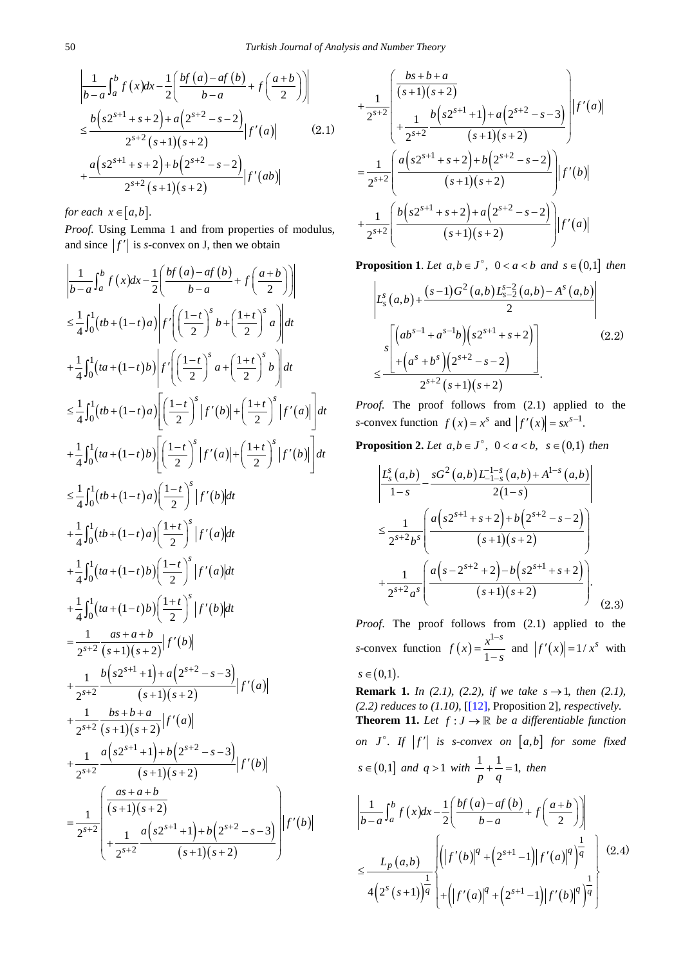$$
\left| \frac{1}{b-a} \int_{a}^{b} f(x) dx - \frac{1}{2} \left( \frac{b f(a) - a f(b)}{b-a} + f\left(\frac{a+b}{2}\right) \right) \right|
$$
  
\n
$$
\leq \frac{b \left( s 2^{s+1} + s + 2 \right) + a \left( 2^{s+2} - s - 2 \right)}{2^{s+2} \left( s + 1 \right) \left( s + 2 \right)} |f'(a)| \qquad (2.1)
$$
  
\n
$$
+ \frac{a \left( s 2^{s+1} + s + 2 \right) + b \left( 2^{s+2} - s - 2 \right)}{2^{s+2} \left( s + 1 \right) \left( s + 2 \right)} |f'(ab)|
$$

*for each*  $x \in [a, b]$ .

Proof. Using Lemma 1 and from properties of modulus, and since  $|f'|$  is *s*-convex on J, then we obtain

$$
\left| \frac{1}{b-a} \int_{a}^{b} f(x) dx - \frac{1}{2} \left( \frac{bf(a)-af(b)}{b-a} + f \left( \frac{a+b}{2} \right) \right) \right|
$$
  
\n
$$
\leq \frac{1}{4} \int_{0}^{1} (tb + (1-t)a) \left| f' \left( \frac{1-t}{2} \right)^{s} b + \left( \frac{1+t}{2} \right)^{s} a \right| dt
$$
  
\n
$$
+ \frac{1}{4} \int_{0}^{1} (ta + (1-t)b) \left| f' \left( \frac{1-t}{2} \right)^{s} a + \left( \frac{1+t}{2} \right)^{s} b \right| dt
$$
  
\n
$$
\leq \frac{1}{4} \int_{0}^{1} (tb + (1-t)a) \left[ \left( \frac{1-t}{2} \right)^{s} |f'(b)| + \left( \frac{1+t}{2} \right)^{s} |f'(a)| \right] dt
$$
  
\n
$$
+ \frac{1}{4} \int_{0}^{1} (ta + (1-t)b) \left[ \left( \frac{1-t}{2} \right)^{s} |f'(a)| + \left( \frac{1+t}{2} \right)^{s} |f'(b)| \right] dt
$$
  
\n
$$
\leq \frac{1}{4} \int_{0}^{1} (tb + (1-t)a) \left( \frac{1-t}{2} \right)^{s} |f'(a)| dt
$$
  
\n
$$
+ \frac{1}{4} \int_{0}^{1} (ta + (1-t)a) \left( \frac{1+t}{2} \right)^{s} |f'(a)| dt
$$
  
\n
$$
+ \frac{1}{4} \int_{0}^{1} (ta + (1-t)b) \left( \frac{1-t}{2} \right)^{s} |f'(a)| dt
$$
  
\n
$$
+ \frac{1}{4} \int_{0}^{1} (ta + (1-t)b) \left( \frac{1+t}{2} \right)^{s} |f'(a)| dt
$$
  
\n
$$
+ \frac{1}{4} \int_{0}^{1} (ta + (1-t)b) \left( \frac{1+t}{2} \right)^{s} |f'(a)| dt
$$
  
\n
$$
+ \frac{1}{4} \int_{0}^{1} (ta + (1-t)b) \left( \frac{1+t}{2} \right)^{s}
$$

$$
+\frac{1}{2^{s+2}}\left(\frac{bs+b+a}{(s+1)(s+2)} + \frac{b(s+1)(s+2)}{2^{s+2}}\right) + \frac{1}{2^{s+2}}\frac{b(s+1)(s+2)}{(s+1)(s+2)}\right)|f'(a)|
$$
  

$$
=\frac{1}{2^{s+2}}\left(\frac{a(s+1)(s+2)+b(2^{s+2}-s-2)}{(s+1)(s+2)}\right)|f'(b)|
$$
  

$$
+\frac{1}{2^{s+2}}\left(\frac{b(s+1)(s+2)+a(2^{s+2}-s-2)}{(s+1)(s+2)}\right)|f'(a)|
$$

**Proposition 1.** *Let*  $a, b \in J^{\circ}$ ,  $0 < a < b$  and  $s \in (0,1]$  *then* 

$$
\left| L_s^s(a,b) + \frac{(s-1)G^2(a,b)L_{s-2}^{s-2}(a,b) - A^s(a,b)}{2} \right|
$$
  

$$
\leq \frac{s \left[ \left( ab^{s-1} + a^{s-1}b \right) \left( s2^{s+1} + s + 2 \right) \right]}{2^{s+2}(s+1)(s+2)}.
$$
 (2.2)

*Proof.* The proof follows from  $(2.1)$  applied to the *s*-convex function  $f(x) = x^s$  and  $|f'(x)| = sx^{s-1}$ .

**Proposition 2.** Let  $a, b \in J^{\circ}$ ,  $0 < a < b$ ,  $s \in (0,1)$  then

$$
\left| \frac{L_s^s(a,b)}{1-s} - \frac{sG^2(a,b)L_{-1-s}^{-1-s}(a,b) + A^{1-s}(a,b)}{2(1-s)} \right|
$$
  

$$
\leq \frac{1}{2^{s+2}b^s} \left( \frac{a(s2^{s+1} + s + 2) + b(2^{s+2} - s - 2)}{(s+1)(s+2)} \right)
$$
  

$$
+ \frac{1}{2^{s+2}a^s} \left( \frac{a(s-2^{s+2} + 2) - b(s2^{s+1} + s + 2)}{(s+1)(s+2)} \right).
$$
(2.3)

*Proof*. The proof follows from (2.1) applied to the *s*-convex function  $f(x)$ 1  $f(x) = \frac{x^{1-s}}{1-s}$  $=\frac{x^{1-s}}{1-s}$  and  $|f'(x)|=1/x^s$  with  $s \in (0,1)$ .

**Remark 1.** *In (2.1), (2.2), if we take*  $s \to 1$ *, then (2.1), (2.2) reduces to (1.10),* [\[\[12\],](#page-5-7) Proposition 2]*, respectively.* **Theorem 11.** Let  $f: J \to \mathbb{R}$  be a differentiable function *on*  $J^{\circ}$ . If  $|f'|$  is s-convex on  $[a,b]$  for some fixed  $s \in (0,1]$  *and*  $q > 1$  *with*  $\frac{1}{p} + \frac{1}{q} = 1$ , *then*  $\frac{1}{a} \int_0^b f(x) dx - \frac{1}{a} \int_0^b \frac{b f(a) - a f(b)}{b}$  $(a,b)$  $(2^s(s+1))$  $(|f'(b)|^q + (2^{s+1}-1)|f'(a)|^q)$  $(|f'(a)|^4 + (2^{s+1}-1)|f'(b)|^4)$ 1 1 1 1 1 2  $b-a$   $(2)$  $(a,b)$   $\left|\left|\left|f'(b)\right|^q+\left(2^{s+1}-1\right)\right|\right|$  $4(2^{s}(s+1))^{q}$  +  $(|f'(a)|^{q}$  +  $(2^{s+1}-1)$ *b*  $\frac{1}{b-a} \int_a^b f(x) dx - \frac{1}{2} \left( \frac{bf(a)-af(b)}{b-a} + f\left(\frac{a+b}{2}\right) \right)$  $q^{q}$  (2s+1 -1)  $f'(q)^{q}$ *p*  $\int_a^s (s+1) \overline{q} \left[ \pm \left( |f'(a)|^q + |2^{s+1}-1| |f'(b)|^q \right) \right]$  $L_p(a,b)$   $\left| \left( \left| f'(b) \right|^q + \left( 2^{s+1} - 1 \right) \right| f'(a) \right|$  $(s+1)$ | $q$  | $+$ || $f'(a)$ | $q'$  +  $(2^{s+1}-1)$ | $f'(b)$ + +  $\left( \begin{array}{ccc} 1 & 1 \end{array} \right)$  $\left\{ \left( |f'(b)|^q + (2^{s+1}-1) |f'(a)|^q \right) \right\}$   $\left| \right.$  $\leq$   $\frac{p(\cdots)}{1}$   $\qquad \qquad$   $\qquad \qquad$ +1) $\frac{1}{q}$  +  $\left( |f'(a)|^q + (2^{s+1}-1)|f'(b)|^q \right)^{\frac{1}{q}}$ (2.4)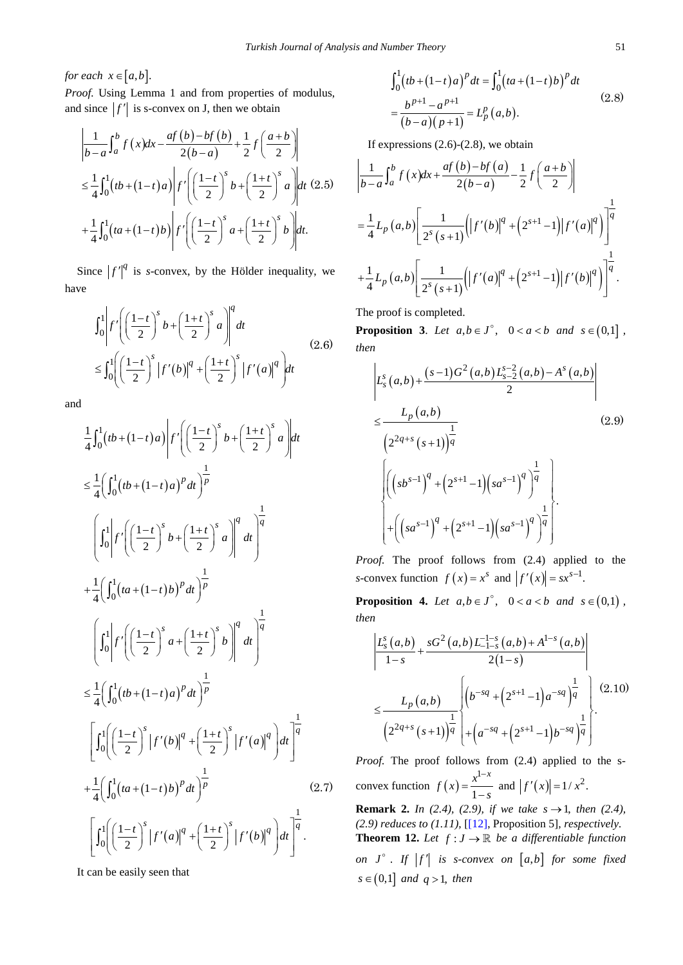*for each*  $x \in [a, b]$ .

Proof. Using Lemma 1 and from properties of modulus, and since  $|f'|$  is s-convex on J, then we obtain

$$
\left|\frac{1}{b-a}\int_{a}^{b} f(x)dx - \frac{af(b)-bf(b)}{2(b-a)} + \frac{1}{2}f\left(\frac{a+b}{2}\right)\right|
$$
  

$$
\leq \frac{1}{4} \int_{0}^{1} (tb + (1-t)a) \left| f'\left(\left(\frac{1-t}{2}\right)^{s} b + \left(\frac{1+t}{2}\right)^{s} a \right) dt \quad (2.5)
$$
  

$$
+ \frac{1}{4} \int_{0}^{1} (ta + (1-t)b) \left| f'\left(\left(\frac{1-t}{2}\right)^{s} a + \left(\frac{1+t}{2}\right)^{s} b \right) dt.
$$

Since  $|f'|^q$  is *s*-convex, by the Hölder inequality, we have

$$
\int_0^1 \left| f' \left( \left( \frac{1-t}{2} \right)^s b + \left( \frac{1+t}{2} \right)^s a \right) \right|^q dt
$$
\n
$$
\leq \int_0^1 \left( \left( \frac{1-t}{2} \right)^s \left| f'(b) \right|^q + \left( \frac{1+t}{2} \right)^s \left| f'(a) \right|^q \right) dt
$$
\n(2.6)

and

$$
\frac{1}{4}\int_{0}^{1} (tb + (1-t)a)\left| f'\left(\frac{1-t}{2}\right)^{s} b + \left(\frac{1+t}{2}\right)^{s} a \right| dt
$$
\n
$$
\leq \frac{1}{4}\left(\int_{0}^{1} (tb + (1-t)a)^{p} dt\right)^{\frac{1}{p}}
$$
\n
$$
\left(\int_{0}^{1} \left| f'\left(\frac{1-t}{2}\right)^{s} b + \left(\frac{1+t}{2}\right)^{s} a \right|^{q} dt\right)^{\frac{1}{q}}
$$
\n
$$
+ \frac{1}{4}\left(\int_{0}^{1} (ta + (1-t)b)^{p} dt\right)^{\frac{1}{p}}
$$
\n
$$
\left(\int_{0}^{1} \left| f'\left(\frac{1-t}{2}\right)^{s} a + \left(\frac{1+t}{2}\right)^{s} b \right|^{q} dt\right)^{\frac{1}{q}}
$$
\n
$$
\leq \frac{1}{4}\left(\int_{0}^{1} (tb + (1-t)a)^{p} dt\right)^{\frac{1}{p}}
$$
\n
$$
\left[\int_{0}^{1} \left(\left(\frac{1-t}{2}\right)^{s} |f'(b)|^{q} + \left(\frac{1+t}{2}\right)^{s} |f'(a)|^{q} \right) dt\right]^{\frac{1}{q}}
$$
\n
$$
+ \frac{1}{4}\left(\int_{0}^{1} (ta + (1-t)b)^{p} dt\right)^{\frac{1}{p}}
$$
\n
$$
\left[\int_{0}^{1} \left(\left(\frac{1-t}{2}\right)^{s} |f'(a)|^{q} + \left(\frac{1+t}{2}\right)^{s} |f'(b)|^{q} \right) dt\right]^{\frac{1}{q}}
$$
\n(2.7)

It can be easily seen that

$$
\int_0^1 (tb + (1-t)a)^p dt = \int_0^1 (ta + (1-t)b)^p dt
$$
  
= 
$$
\frac{b^{p+1} - a^{p+1}}{(b-a)(p+1)} = L_p^p(a,b).
$$
 (2.8)

If expressions  $(2.6)-(2.8)$ , we obtain

$$
\left| \frac{1}{b-a} \int_{a}^{b} f(x) dx + \frac{af(b)-bf(a)}{2(b-a)} - \frac{1}{2} f\left(\frac{a+b}{2}\right) \right|
$$
  

$$
= \frac{1}{4} L_p(a,b) \left[ \frac{1}{2^{s}(s+1)} \Big( |f'(b)|^{q} + (2^{s+1}-1) |f'(a)|^{q} \Big) \right]^{\frac{1}{q}}
$$
  

$$
+ \frac{1}{4} L_p(a,b) \left[ \frac{1}{2^{s}(s+1)} \Big( |f'(a)|^{q} + (2^{s+1}-1) |f'(b)|^{q} \Big) \right]^{\frac{1}{q}}.
$$

The proof is completed.

**Proposition 3.** *Let*  $a, b \in J^{\circ}$ ,  $0 < a < b$  *and*  $s \in (0,1]$ , *then*

$$
\begin{aligned}\n&\left|L_{s}^{s}(a,b)+\frac{(s-1)G^{2}(a,b)L_{s-2}^{s-2}(a,b)-A^{s}(a,b)}{2}\right| \\
&\leq\frac{L_{p}(a,b)}{\left(2^{2q+s}(s+1)\right)^{\frac{1}{q}}} \\
&\left|\left(\left(s^{s-1}\right)^{q}+\left(2^{s+1}-1\right)\left(s^{s-1}\right)^{q}\right)^{\frac{1}{q}}\right| \\
&+\left(\left(s^{s-1}\right)^{q}+\left(2^{s+1}-1\right)\left(s^{s-1}\right)^{q}\right)^{\frac{1}{q}}\right|.\n\end{aligned}
$$

*Proof.* The proof follows from (2.4) applied to the *s*-convex function  $f(x) = x^s$  and  $|f'(x)| = sx^{s-1}$ .

**Proposition 4.** *Let*  $a, b \in J^{\circ}$ ,  $0 < a < b$  *and*  $s \in (0,1)$ , *then*

$$
\left| \frac{L_s^s(a,b)}{1-s} + \frac{sG^2(a,b)L_{-1-s}^{-1}(a,b) + A^{1-s}(a,b)}{2(1-s)} \right|
$$
  

$$
\leq \frac{L_p(a,b)}{\left(2^{2q+s}(s+1)\right)^{\frac{1}{q}}}\left| \left( b^{-sq} + \left(2^{s+1} - 1 \right) a^{-sq} \right)^{\frac{1}{q}} \right| \left( \frac{(2.10)}{(2^{2q+s}(s+1))^{\frac{1}{q}}} \right| + \left( a^{-sq} + \left(2^{s+1} - 1 \right) b^{-sq} \right)^{\frac{1}{q}} \left| \frac{1}{2^{s+1}} \right|.
$$

*Proof.* The proof follows from  $(2.4)$  applied to the sconvex function  $f(x)$ 1  $f(x) = \frac{x^{1-x}}{1-s}$  $=\frac{x^{1-x}}{1-s}$  and  $|f'(x)| = 1/x^2$ . **Remark 2.** *In (2.4), (2.9), if we take*  $s \to 1$ *, then (2.4), (2.9) reduces to (1.11),* [\[\[12\],](#page-5-7) Proposition 5]*, respectively.* **Theorem 12.** Let  $f: J \to \mathbb{R}$  be a differentiable function *on*  $J^{\circ}$ . If  $|f'|$  is s-convex on  $[a,b]$  for some fixed  $s \in (0,1]$  *and*  $q > 1$ *, then*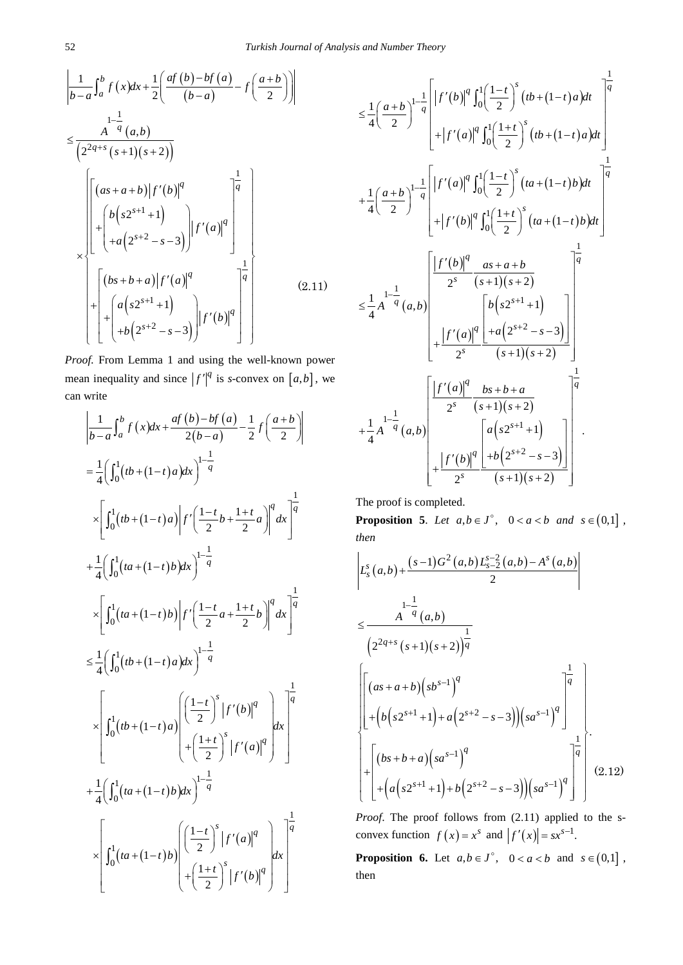$$
\left| \frac{1}{b-a} \int_{a}^{b} f(x) dx + \frac{1}{2} \left( \frac{af(b)-bf(a)}{(b-a)} - f\left( \frac{a+b}{2} \right) \right) \right|
$$
  
\n
$$
\leq \frac{A^{-q}(a,b)}{\left( 2^{2q+s}(s+1)(s+2) \right)}
$$
  
\n
$$
\left| \left[ \frac{(as+a+b)|f'(b)|^q}{+a(2^{s+2}-s-3)} \right] \right| f'(a)|^q
$$
  
\n
$$
\times \left| \left[ \frac{(bs+b+a)|f'(a)|^q}{+a(2^{s+2}-s-3)} \right] \right| f'(a)|^q
$$
  
\n
$$
\left| \left[ \frac{(bs+b+a)|f'(a)|^q}{+b(2^{s+2}-s-3)} \right] \right| f'(b)|^q \right| \qquad (2.11)
$$

*Proof.* From Lemma 1 and using the well-known power mean inequality and since  $|f'|^q$  is *s*-convex on  $[a,b]$ , we can write

$$
\begin{aligned}\n&\left|\frac{1}{b-a}\int_{a}^{b} f(x)dx + \frac{af(b)-bf(a)}{2(b-a)} - \frac{1}{2}f\left(\frac{a+b}{2}\right)\right| \\
&= \frac{1}{4}\left(\int_{0}^{1}(tb + (1-t)a)dx\right)^{1-\frac{1}{q}} \\
&\times \left[\int_{0}^{1}(tb + (1-t)a)\left|f'\left(\frac{1-t}{2}b + \frac{1+t}{2}a\right)\right|^{q}dx\right]^{1-\frac{1}{q}} \\
&+ \frac{1}{4}\left(\int_{0}^{1}(ta + (1-t)b)dx\right)^{1-\frac{1}{q}} \\
&\times \left[\int_{0}^{1}(ta + (1-t)b)\left|f'\left(\frac{1-t}{2}a + \frac{1+t}{2}b\right)\right|^{q}dx\right]^{1-\frac{1}{q}} \\
&\leq \frac{1}{4}\left(\int_{0}^{1}(tb + (1-t)a)dx\right)^{1-\frac{1}{q}} \\
&\times \left[\int_{0}^{1}(tb + (1-t)a)\left(\frac{1-t}{2}\right)^{s}|f'(b)|^{q}\right]^{1-\frac{1}{q}} \\
&+ \frac{1}{4}\left(\int_{0}^{1}(ta + (1-t)b)dx\right)^{1-\frac{1}{q}} \\
&+ \frac{1}{4}\left(\int_{0}^{1}(ta + (1-t)b)dx\right)^{1-\frac{1}{q}} \\
&\times \left[\int_{0}^{1}(ta + (1-t)b)\left|\left(\frac{1-t}{2}\right)^{s}|f'(a)|^{q}\right)dx\right]^{1-\frac{1}{q}}\n\end{aligned}
$$

$$
\leq \frac{1}{4} \left( \frac{a+b}{2} \right)^{1-\frac{1}{q}} \left[ |f'(b)|^{q} \int_{0}^{1} \left( \frac{1-t}{2} \right)^{s} (tb + (1-t)a) dt \right] + |f'(a)|^{q} \int_{0}^{1} \left( \frac{1+t}{2} \right)^{s} (tb + (1-t)a) dt + \frac{1}{4} \left( \frac{a+b}{2} \right)^{1-\frac{1}{q}} \left[ |f'(a)|^{q} \int_{0}^{1} \left( \frac{1-t}{2} \right)^{s} (ta + (1-t)b) dt \right] + |f'(b)|^{q} \int_{0}^{1} \left( \frac{1+t}{2} \right)^{s} (ta + (1-t)b) dt \right] + |f'(b)|^{q} \int_{0}^{1} \left( \frac{1+t}{2} \right)^{s} (ta + (1-t)b) dt + |f'(b)|^{q} \int_{0}^{1} \left( \frac{1+t}{2} \right)^{s} (ta + (1-t)b) dt \right] + |f'(a)|^{q} \left[ \frac{as + a + b}{2^{s}} \left( \frac{1}{s + 1} \right) \left( \frac{1}{s + 2} \right) + \frac{|f'(a)|^{q}}{2^{s}} \left( \frac{1}{s + 1} \right) \left( \frac{1}{s + 2} \right) + \frac{|f'(a)|^{q}}{2^{s}} \left( \frac{bs + b + a}{2^{s}} \right) + \frac{|f'(b)|^{q}}{2^{s}} \left( \frac{1}{s + 1} \right) \left( \frac{1}{s + 2} \right) + \frac{|f'(b)|^{q}}{2^{s}} \left( \frac{a \left( s2^{s+1} + 1 \right)}{s + 1} \right) + |f'(b)|^{q} \left( \frac{1}{2^{s+2} - s - 3} \right) \right].
$$

The proof is completed.

**Proposition 5.** *Let*  $a,b \in J^{\circ}$ ,  $0 < a < b$  *and*  $s \in (0,1]$ , *then*

$$
\begin{aligned}\n&\left| L_s^s(a,b) + \frac{(s-1)G^2(a,b)L_{s-2}^{s-2}(a,b) - A^s(a,b)}{2} \right| \\
&\leq \frac{A^{-\frac{1}{q}}(a,b)}{\left(2^{2q+s}(s+1)(s+2)\right)^{\frac{1}{q}}} \\
&\left| \left[ (as+a+b)(s b^{s-1})^q \right] + \left( b \left( s 2^{s+1} + 1 \right) + a \left( 2^{s+2} - s - 3 \right) \right) \left( s a^{s-1} \right)^q \right| \\
&+ \left[ (bs+b+a)\left( s a^{s-1} \right)^q \right] + \left[ a \left( s 2^{s+1} + 1 \right) + b \left( 2^{s+2} - s - 3 \right) \right) \left( s a^{s-1} \right)^q \right]\n\end{aligned} \tag{2.12}
$$

*Proof*. The proof follows from (2.11) applied to the sconvex function  $f(x) = x^s$  and  $|f'(x)| = sx^{s-1}$ .

**Proposition 6.** Let  $a, b \in J^{\circ}$ ,  $0 < a < b$  and  $s \in (0,1]$ , then